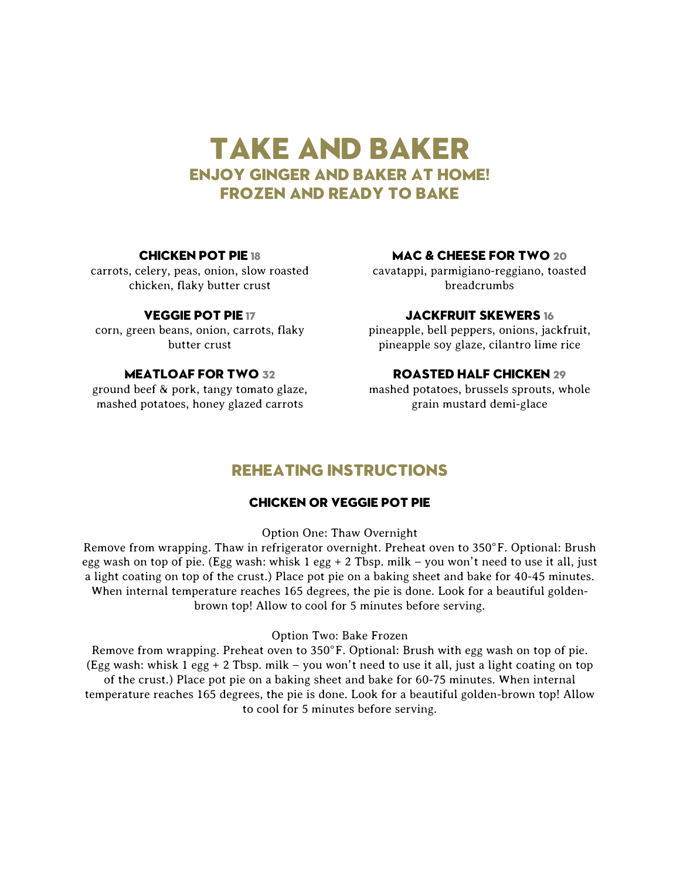# Take and Baker Enjoy Ginger and Baker at Home! frozen and ready to bake

#### Chicken pot pie 18

carrots, celery, peas, onion, slow roasted chicken, flaky butter crust

#### Veggie pot pie 17

corn, green beans, onion, carrots, flaky butter crust

# MEATLOAF FOR TWO 32

ground beef & pork, tangy tomato glaze, mashed potatoes, honey glazed carrots

# MAC & CHEESE FOR TWO 20

cavatappi, parmigiano-reggiano, toasted breadcrumbs

### Jackfruit skewers 16

pineapple, bell peppers, onions, jackfruit, pineapple soy glaze, cilantro lime rice

## Roasted half chicken 29

mashed potatoes, brussels sprouts, whole grain mustard demi-glace

# Reheating Instructions

### Chicken or Veggie Pot pie

Option One: Thaw Overnight

Remove from wrapping. Thaw in refrigerator overnight. Preheat oven to 350°F. Optional: Brush egg wash on top of pie. (Egg wash: whisk 1 egg + 2 Tbsp. milk – you won't need to use it all, just a light coating on top of the crust.) Place pot pie on a baking sheet and bake for 40-45 minutes. When internal temperature reaches 165 degrees, the pie is done. Look for a beautiful goldenbrown top! Allow to cool for 5 minutes before serving.

#### Option Two: Bake Frozen

Remove from wrapping. Preheat oven to 350°F. Optional: Brush with egg wash on top of pie. (Egg wash: whisk 1 egg  $+ 2$  Tbsp. milk – you won't need to use it all, just a light coating on top of the crust.) Place pot pie on a baking sheet and bake for 60-75 minutes. When internal temperature reaches 165 degrees, the pie is done. Look for a beautiful golden-brown top! Allow to cool for 5 minutes before serving.